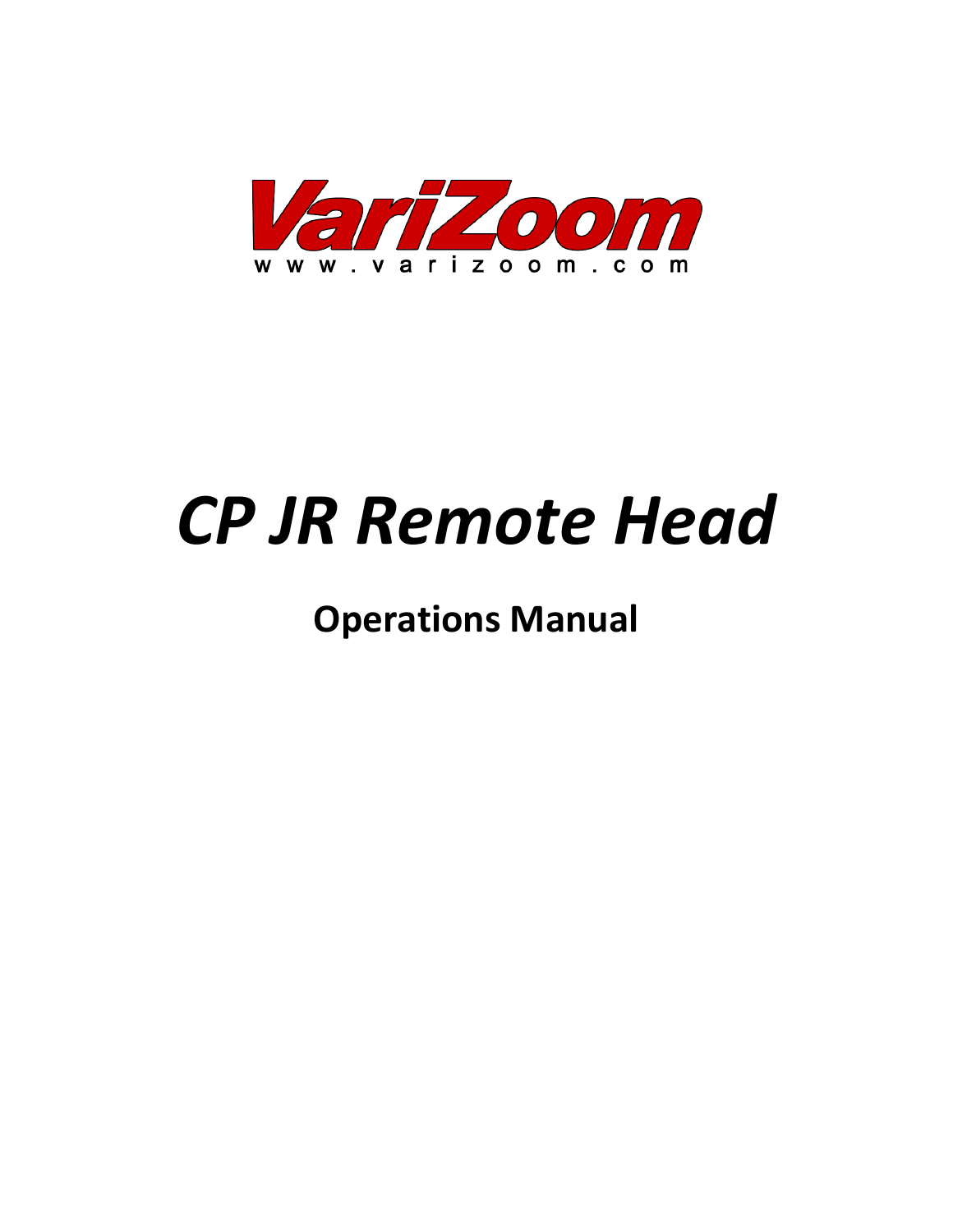

# *CP JR Remote Head*

**Operations Manual**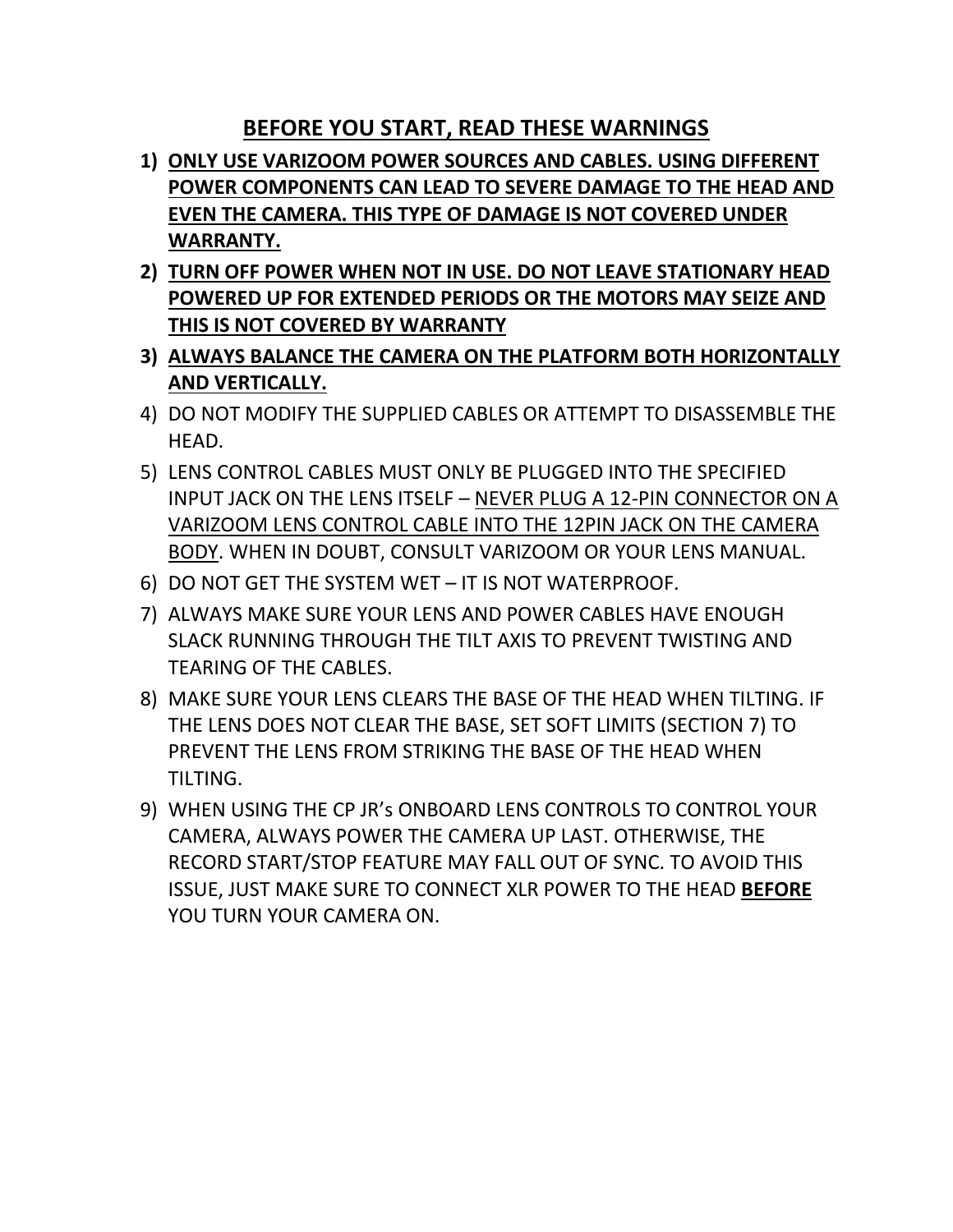# **BEFORE YOU START, READ THESE WARNINGS**

- **1) ONLY USE VARIZOOM POWER SOURCES AND CABLES. USING DIFFERENT POWER COMPONENTS CAN LEAD TO SEVERE DAMAGE TO THE HEAD AND EVEN THE CAMERA. THIS TYPE OF DAMAGE IS NOT COVERED UNDER WARRANTY.**
- **2) TURN OFF POWER WHEN NOT IN USE. DO NOT LEAVE STATIONARY HEAD POWERED UP FOR EXTENDED PERIODS OR THE MOTORS MAY SEIZE AND THIS IS NOT COVERED BY WARRANTY**
- **3) ALWAYS BALANCE THE CAMERA ON THE PLATFORM BOTH HORIZONTALLY AND VERTICALLY.**
- 4) DO NOT MODIFY THE SUPPLIED CABLES OR ATTEMPT TO DISASSEMBLE THE HEAD.
- 5) LENS CONTROL CABLES MUST ONLY BE PLUGGED INTO THE SPECIFIED INPUT JACK ON THE LENS ITSELF – NEVER PLUG A 12-PIN CONNECTOR ON A VARIZOOM LENS CONTROL CABLE INTO THE 12PIN JACK ON THE CAMERA BODY. WHEN IN DOUBT, CONSULT VARIZOOM OR YOUR LENS MANUAL.
- 6) DO NOT GET THE SYSTEM WET IT IS NOT WATERPROOF.
- 7) ALWAYS MAKE SURE YOUR LENS AND POWER CABLES HAVE ENOUGH SLACK RUNNING THROUGH THE TILT AXIS TO PREVENT TWISTING AND TEARING OF THE CABLES.
- 8) MAKE SURE YOUR LENS CLEARS THE BASE OF THE HEAD WHEN TILTING. IF THE LENS DOES NOT CLEAR THE BASE, SET SOFT LIMITS (SECTION 7) TO PREVENT THE LENS FROM STRIKING THE BASE OF THE HEAD WHEN TILTING.
- 9) WHEN USING THE CP JR's ONBOARD LENS CONTROLS TO CONTROL YOUR CAMERA, ALWAYS POWER THE CAMERA UP LAST. OTHERWISE, THE RECORD START/STOP FEATURE MAY FALL OUT OF SYNC. TO AVOID THIS ISSUE, JUST MAKE SURE TO CONNECT XLR POWER TO THE HEAD **BEFORE** YOU TURN YOUR CAMERA ON.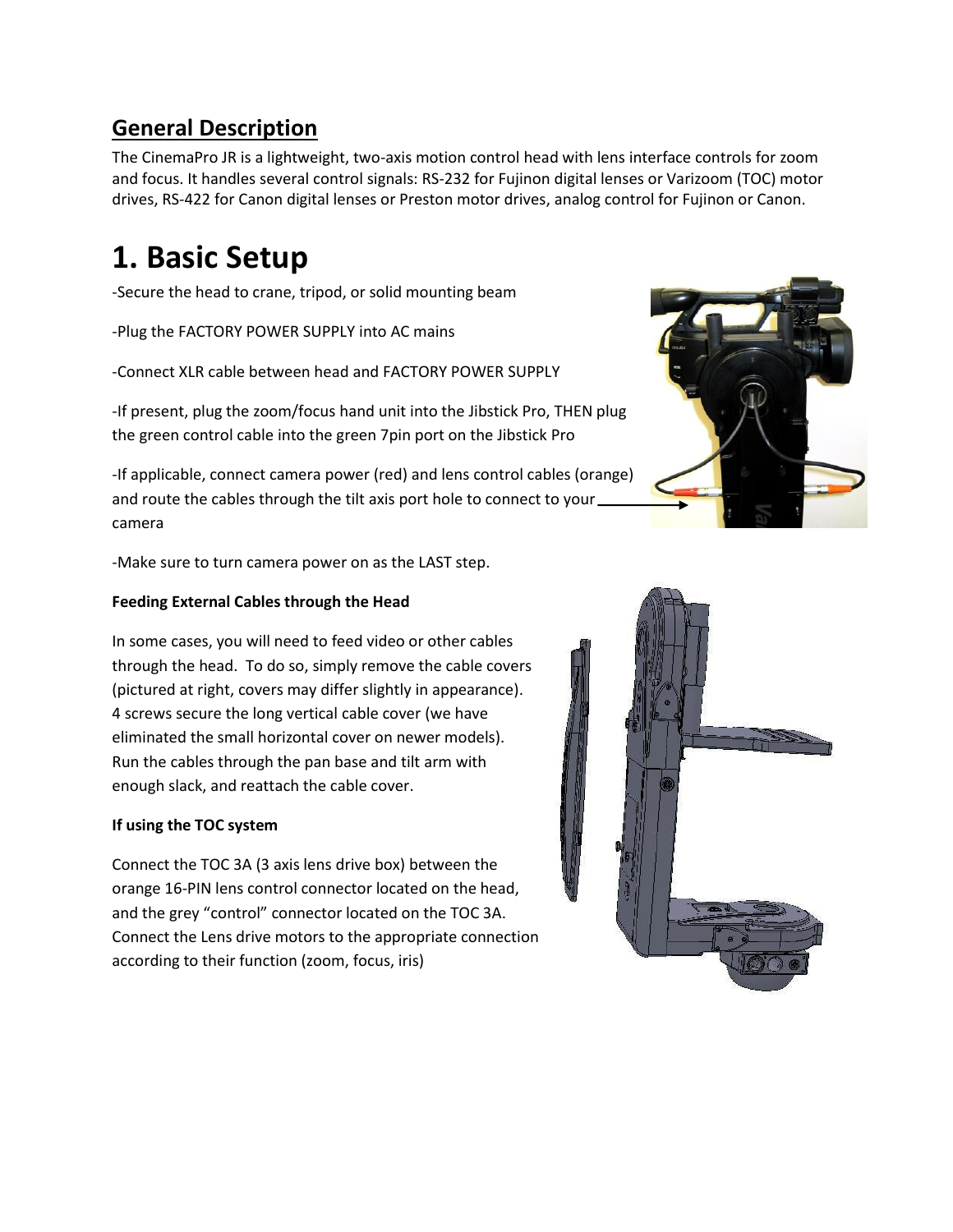# **General Description**

The CinemaPro JR is a lightweight, two-axis motion control head with lens interface controls for zoom and focus. It handles several control signals: RS-232 for Fujinon digital lenses or Varizoom (TOC) motor drives, RS-422 for Canon digital lenses or Preston motor drives, analog control for Fujinon or Canon.

# **1. Basic Setup**

-Secure the head to crane, tripod, or solid mounting beam

-Plug the FACTORY POWER SUPPLY into AC mains

-Connect XLR cable between head and FACTORY POWER SUPPLY

-If present, plug the zoom/focus hand unit into the Jibstick Pro, THEN plug the green control cable into the green 7pin port on the Jibstick Pro

-If applicable, connect camera power (red) and lens control cables (orange) and route the cables through the tilt axis port hole to connect to your\_ camera

-Make sure to turn camera power on as the LAST step.

#### **Feeding External Cables through the Head**

In some cases, you will need to feed video or other cables through the head. To do so, simply remove the cable covers (pictured at right, covers may differ slightly in appearance). 4 screws secure the long vertical cable cover (we have eliminated the small horizontal cover on newer models). Run the cables through the pan base and tilt arm with enough slack, and reattach the cable cover.

#### **If using the TOC system**

Connect the TOC 3A (3 axis lens drive box) between the orange 16-PIN lens control connector located on the head, and the grey "control" connector located on the TOC 3A. Connect the Lens drive motors to the appropriate connection according to their function (zoom, focus, iris)



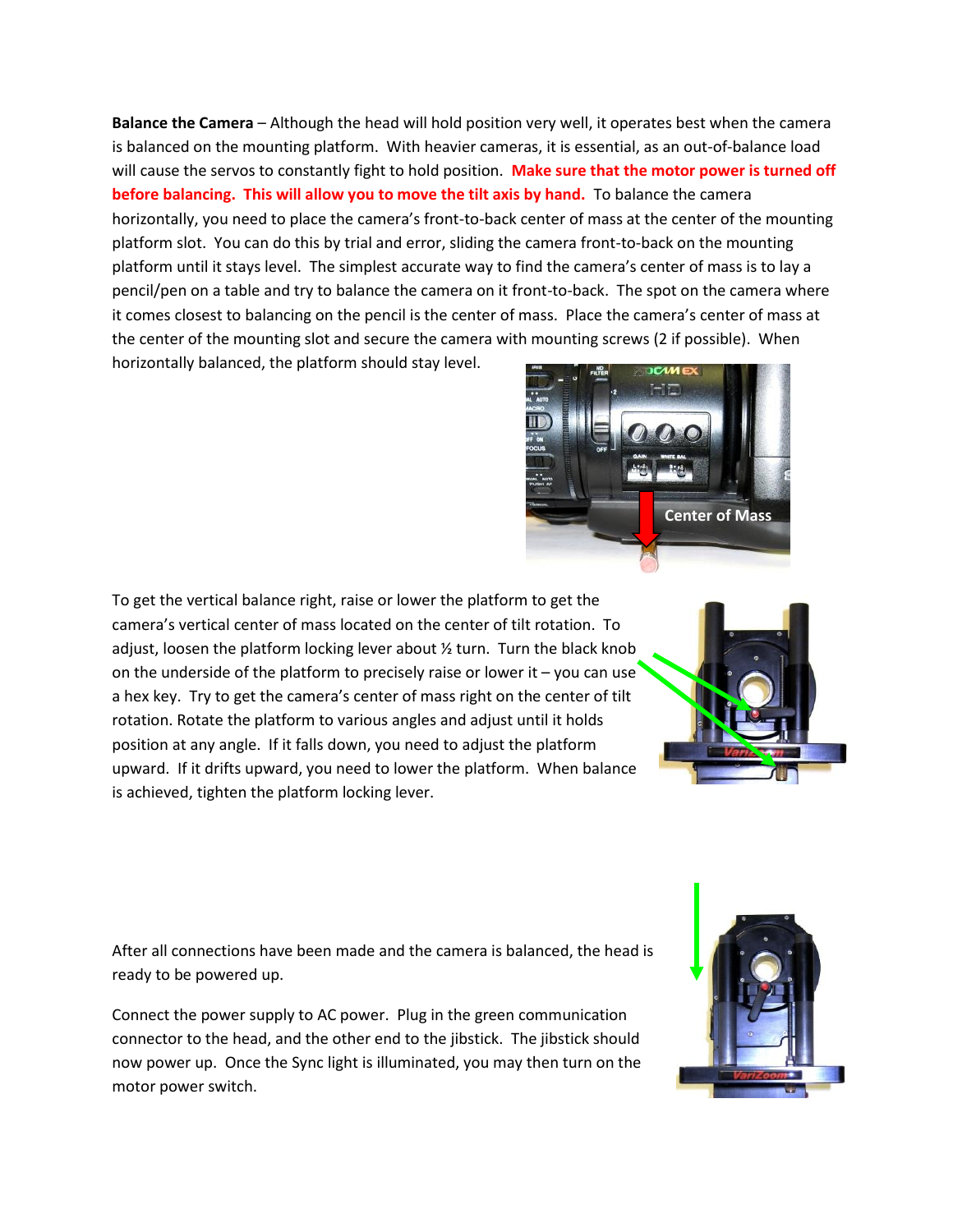**Balance the Camera** – Although the head will hold position very well, it operates best when the camera is balanced on the mounting platform. With heavier cameras, it is essential, as an out-of-balance load will cause the servos to constantly fight to hold position. **Make sure that the motor power is turned off before balancing. This will allow you to move the tilt axis by hand.** To balance the camera horizontally, you need to place the camera's front-to-back center of mass at the center of the mounting platform slot. You can do this by trial and error, sliding the camera front-to-back on the mounting platform until it stays level. The simplest accurate way to find the camera's center of mass is to lay a pencil/pen on a table and try to balance the camera on it front-to-back. The spot on the camera where it comes closest to balancing on the pencil is the center of mass. Place the camera's center of mass at the center of the mounting slot and secure the camera with mounting screws (2 if possible). When horizontally balanced, the platform should stay level.



To get the vertical balance right, raise or lower the platform to get the camera's vertical center of mass located on the center of tilt rotation. To adjust, loosen the platform locking lever about ½ turn. Turn the black knob on the underside of the platform to precisely raise or lower it  $-$  you can use a hex key. Try to get the camera's center of mass right on the center of tilt rotation. Rotate the platform to various angles and adjust until it holds position at any angle. If it falls down, you need to adjust the platform upward. If it drifts upward, you need to lower the platform. When balance is achieved, tighten the platform locking lever.



After all connections have been made and the camera is balanced, the head is ready to be powered up.

Connect the power supply to AC power. Plug in the green communication connector to the head, and the other end to the jibstick. The jibstick should now power up. Once the Sync light is illuminated, you may then turn on the motor power switch.

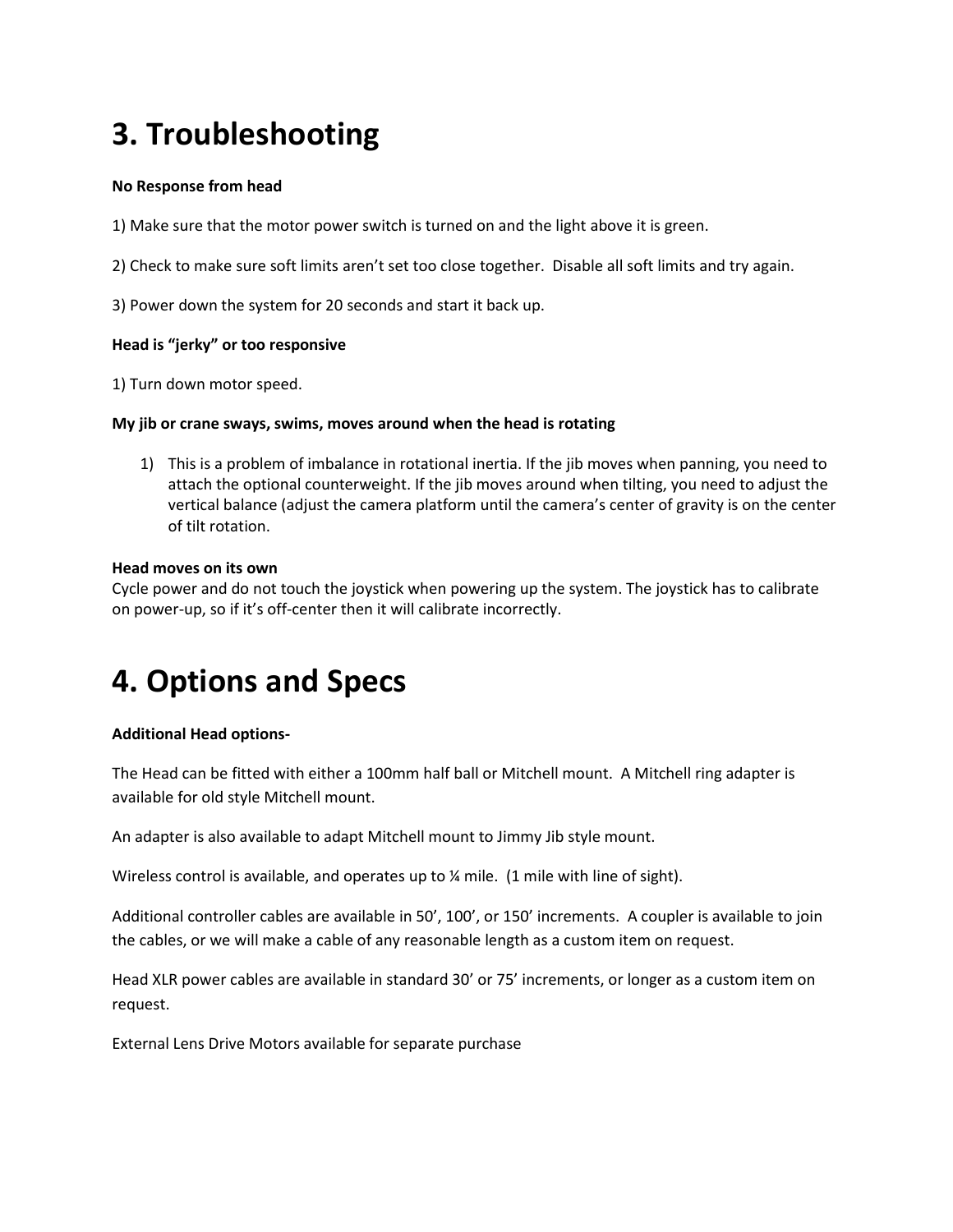# **3. Troubleshooting**

#### **No Response from head**

- 1) Make sure that the motor power switch is turned on and the light above it is green.
- 2) Check to make sure soft limits aren't set too close together. Disable all soft limits and try again.
- 3) Power down the system for 20 seconds and start it back up.

#### **Head is "jerky" or too responsive**

1) Turn down motor speed.

#### **My jib or crane sways, swims, moves around when the head is rotating**

1) This is a problem of imbalance in rotational inertia. If the jib moves when panning, you need to attach the optional counterweight. If the jib moves around when tilting, you need to adjust the vertical balance (adjust the camera platform until the camera's center of gravity is on the center of tilt rotation.

#### **Head moves on its own**

Cycle power and do not touch the joystick when powering up the system. The joystick has to calibrate on power-up, so if it's off-center then it will calibrate incorrectly.

# **4. Options and Specs**

#### **Additional Head options-**

The Head can be fitted with either a 100mm half ball or Mitchell mount. A Mitchell ring adapter is available for old style Mitchell mount.

An adapter is also available to adapt Mitchell mount to Jimmy Jib style mount.

Wireless control is available, and operates up to  $\frac{1}{4}$  mile. (1 mile with line of sight).

Additional controller cables are available in 50', 100', or 150' increments. A coupler is available to join the cables, or we will make a cable of any reasonable length as a custom item on request.

Head XLR power cables are available in standard 30' or 75' increments, or longer as a custom item on request.

External Lens Drive Motors available for separate purchase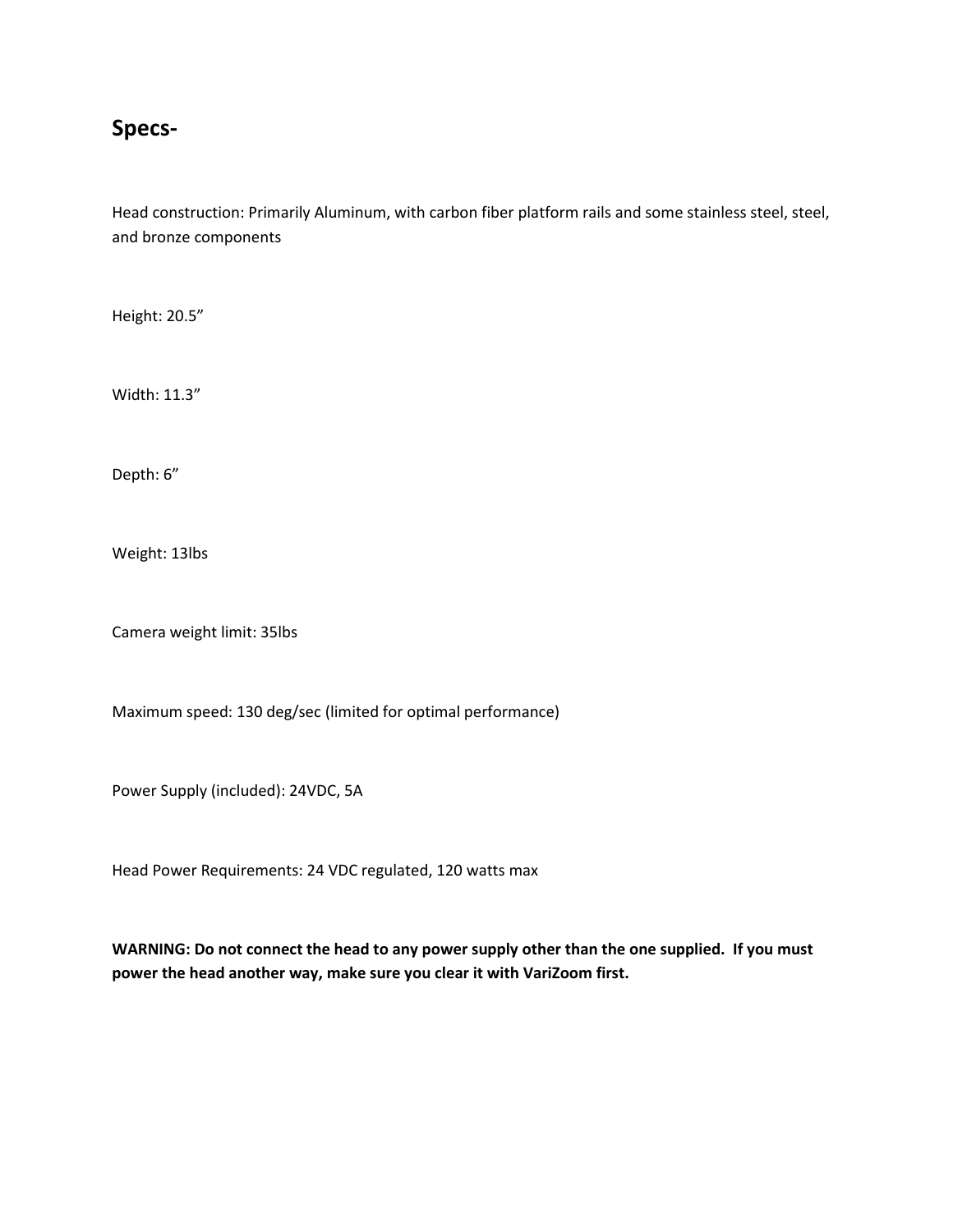## **Specs-**

Head construction: Primarily Aluminum, with carbon fiber platform rails and some stainless steel, steel, and bronze components

Height: 20.5"

Width: 11.3"

Depth: 6"

Weight: 13lbs

Camera weight limit: 35lbs

Maximum speed: 130 deg/sec (limited for optimal performance)

Power Supply (included): 24VDC, 5A

Head Power Requirements: 24 VDC regulated, 120 watts max

**WARNING: Do not connect the head to any power supply other than the one supplied. If you must power the head another way, make sure you clear it with VariZoom first.**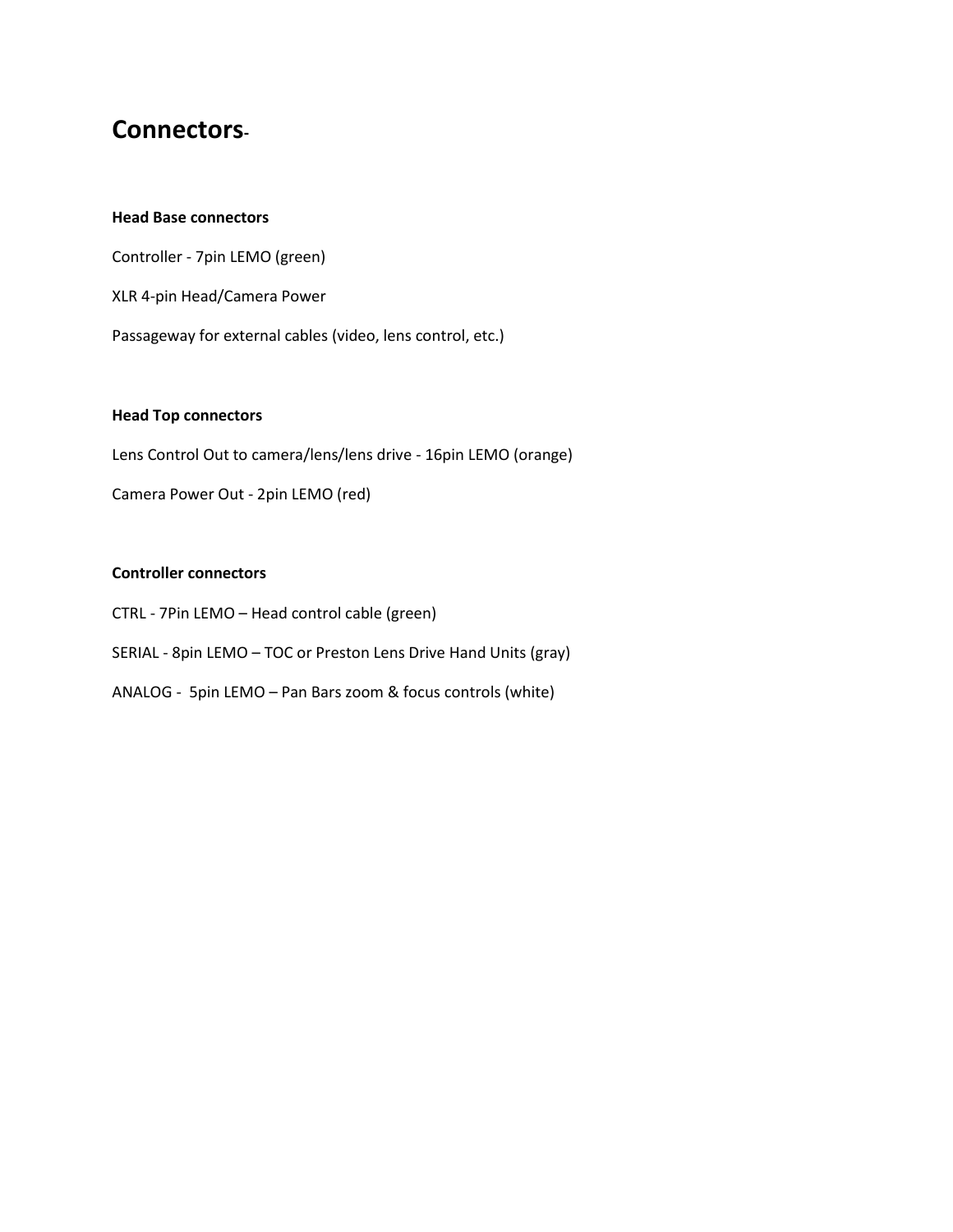# **Connectors-**

#### **Head Base connectors**

Controller - 7pin LEMO (green) XLR 4-pin Head/Camera Power Passageway for external cables (video, lens control, etc.)

#### **Head Top connectors**

Lens Control Out to camera/lens/lens drive - 16pin LEMO (orange)

Camera Power Out - 2pin LEMO (red)

#### **Controller connectors**

- CTRL 7Pin LEMO Head control cable (green)
- SERIAL 8pin LEMO TOC or Preston Lens Drive Hand Units (gray)
- ANALOG 5pin LEMO Pan Bars zoom & focus controls (white)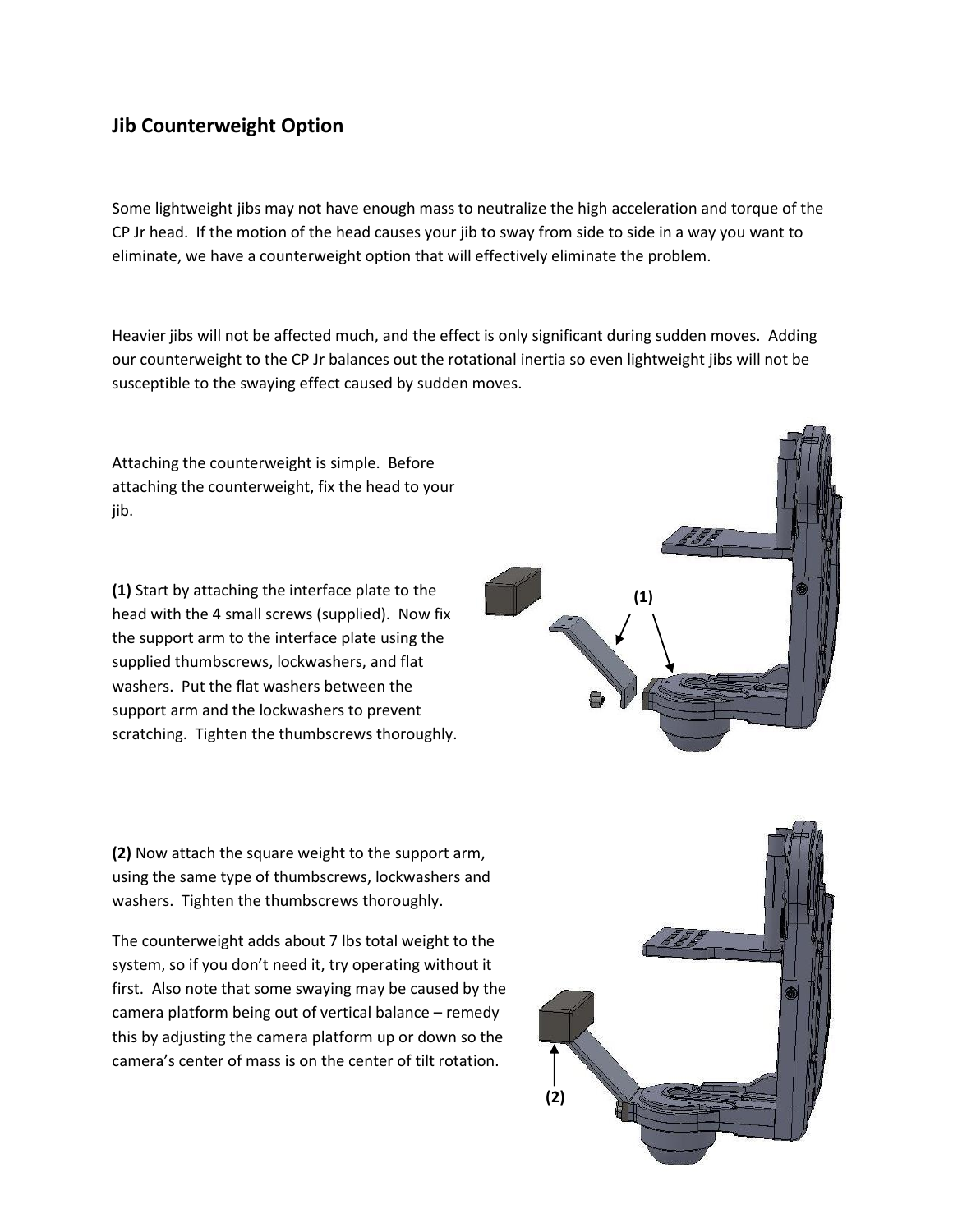## **Jib Counterweight Option**

Some lightweight jibs may not have enough mass to neutralize the high acceleration and torque of the CP Jr head. If the motion of the head causes your jib to sway from side to side in a way you want to eliminate, we have a counterweight option that will effectively eliminate the problem.

Heavier jibs will not be affected much, and the effect is only significant during sudden moves. Adding our counterweight to the CP Jr balances out the rotational inertia so even lightweight jibs will not be susceptible to the swaying effect caused by sudden moves.

Attaching the counterweight is simple. Before attaching the counterweight, fix the head to your jib.

**(1)** Start by attaching the interface plate to the head with the 4 small screws (supplied). Now fix the support arm to the interface plate using the supplied thumbscrews, lockwashers, and flat washers. Put the flat washers between the support arm and the lockwashers to prevent scratching. Tighten the thumbscrews thoroughly.



**(2)** Now attach the square weight to the support arm, using the same type of thumbscrews, lockwashers and washers. Tighten the thumbscrews thoroughly.

The counterweight adds about 7 lbs total weight to the system, so if you don't need it, try operating without it first. Also note that some swaying may be caused by the camera platform being out of vertical balance – remedy this by adjusting the camera platform up or down so the camera's center of mass is on the center of tilt rotation.

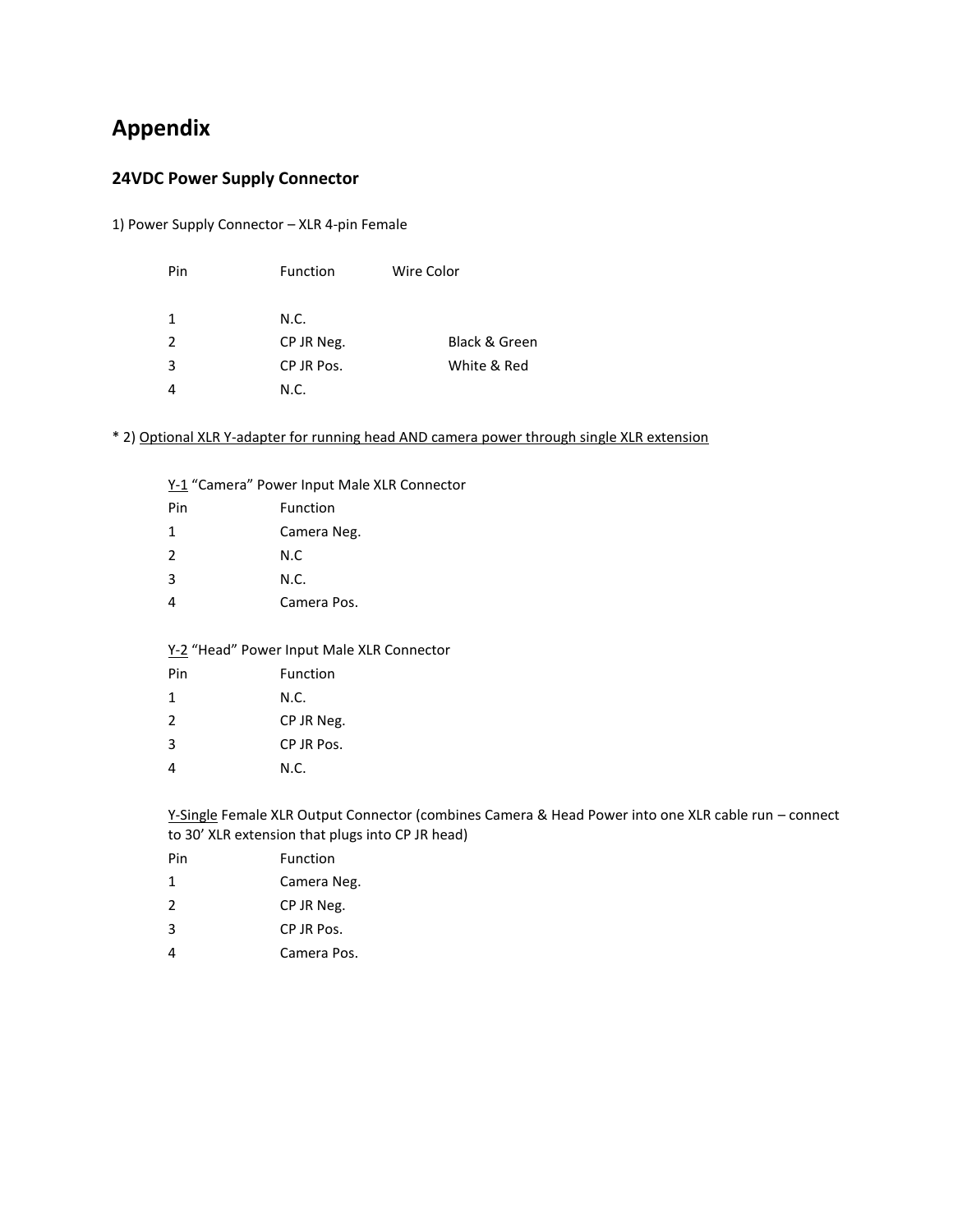# **Appendix**

#### **24VDC Power Supply Connector**

1) Power Supply Connector – XLR 4-pin Female

| Pin | <b>Function</b> | Wire Color    |
|-----|-----------------|---------------|
|     |                 |               |
| 1   | N.C.            |               |
| 2   | CP JR Neg.      | Black & Green |
| 3   | CP JR Pos.      | White & Red   |
|     | N.C.            |               |

\* 2) Optional XLR Y-adapter for running head AND camera power through single XLR extension

Y-1 "Camera" Power Input Male XLR Connector

| Pin            | Function    |
|----------------|-------------|
| 1              | Camera Neg. |
| $\overline{2}$ | N.C         |
| 3              | N.C.        |
| 4              | Camera Pos. |

#### Y-2 "Head" Power Input Male XLR Connector

| Pin | Function   |
|-----|------------|
| 1   | N.C.       |
| 2   | CP JR Neg. |
| 3   | CP JR Pos. |
|     | N.C.       |

Y-Single Female XLR Output Connector (combines Camera & Head Power into one XLR cable run – connect to 30' XLR extension that plugs into CP JR head)

| Pin           | Function    |
|---------------|-------------|
| 1             | Camera Neg. |
| $\mathcal{P}$ | CP JR Neg.  |
| 3             | CP IR Pos.  |
| 4             | Camera Pos. |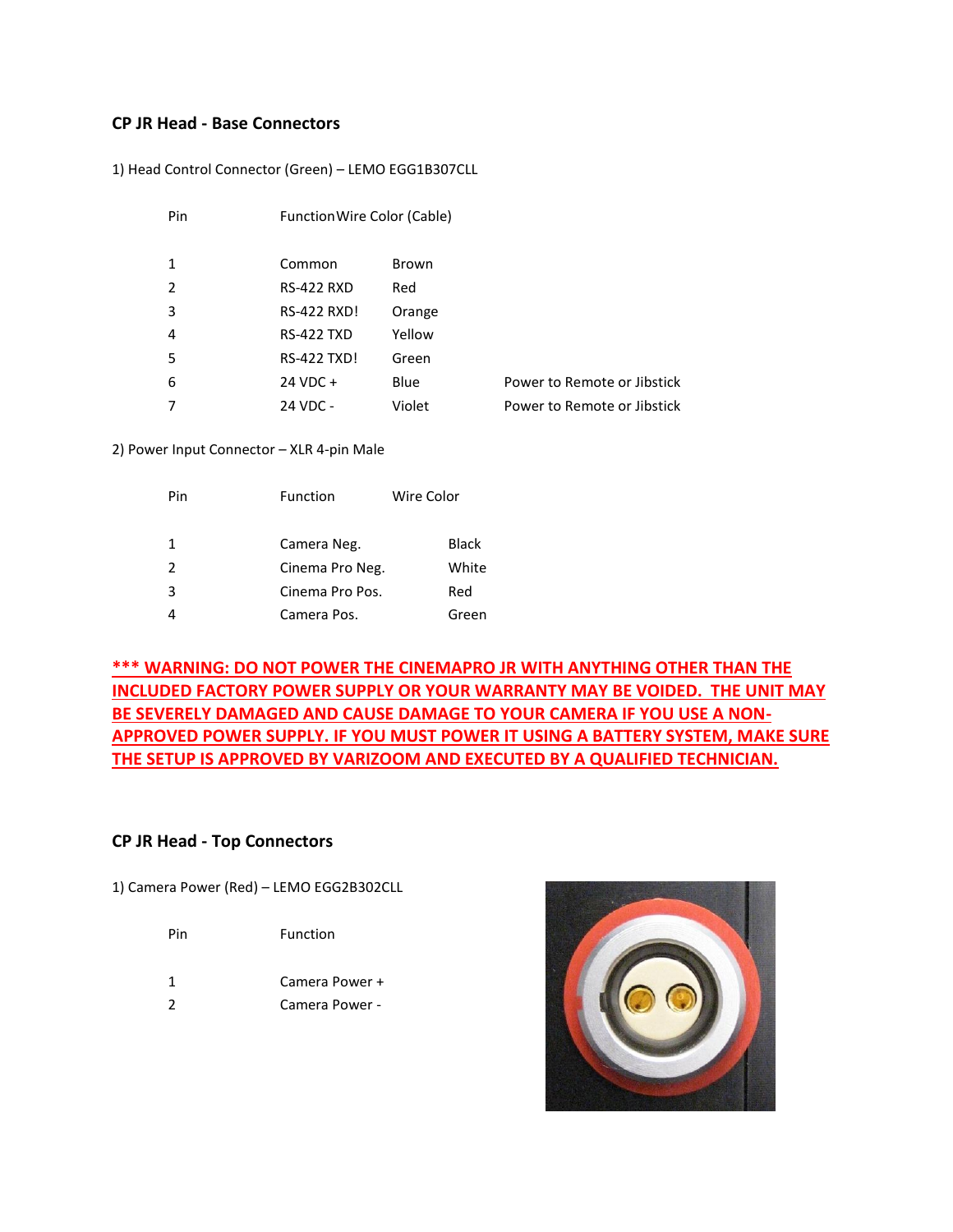#### **CP JR Head - Base Connectors**

1) Head Control Connector (Green) – LEMO EGG1B307CLL

| Pin | Function Wire Color (Cable) |        |                             |
|-----|-----------------------------|--------|-----------------------------|
| 1   | Common                      | Brown  |                             |
| 2   | <b>RS-422 RXD</b>           | Red    |                             |
| 3   | <b>RS-422 RXD!</b>          | Orange |                             |
| 4   | <b>RS-422 TXD</b>           | Yellow |                             |
| 5   | <b>RS-422 TXD!</b>          | Green  |                             |
| 6   | 24 VDC +                    | Blue   | Power to Remote or Jibstick |
|     | 24 VDC -                    | Violet | Power to Remote or Jibstick |

2) Power Input Connector – XLR 4-pin Male

| Pin | Function        | Wire Color   |
|-----|-----------------|--------------|
| 1   | Camera Neg.     | <b>Black</b> |
| 2   | Cinema Pro Neg. | White        |
| 3   | Cinema Pro Pos. | Red          |
|     | Camera Pos.     | Green        |

**\*\*\* WARNING: DO NOT POWER THE CINEMAPRO JR WITH ANYTHING OTHER THAN THE INCLUDED FACTORY POWER SUPPLY OR YOUR WARRANTY MAY BE VOIDED. THE UNIT MAY BE SEVERELY DAMAGED AND CAUSE DAMAGE TO YOUR CAMERA IF YOU USE A NON-APPROVED POWER SUPPLY. IF YOU MUST POWER IT USING A BATTERY SYSTEM, MAKE SURE THE SETUP IS APPROVED BY VARIZOOM AND EXECUTED BY A QUALIFIED TECHNICIAN.**

#### **CP JR Head - Top Connectors**

1) Camera Power (Red) – LEMO EGG2B302CLL

| Function |
|----------|
|          |

- 1 Camera Power +
- 2 Camera Power -

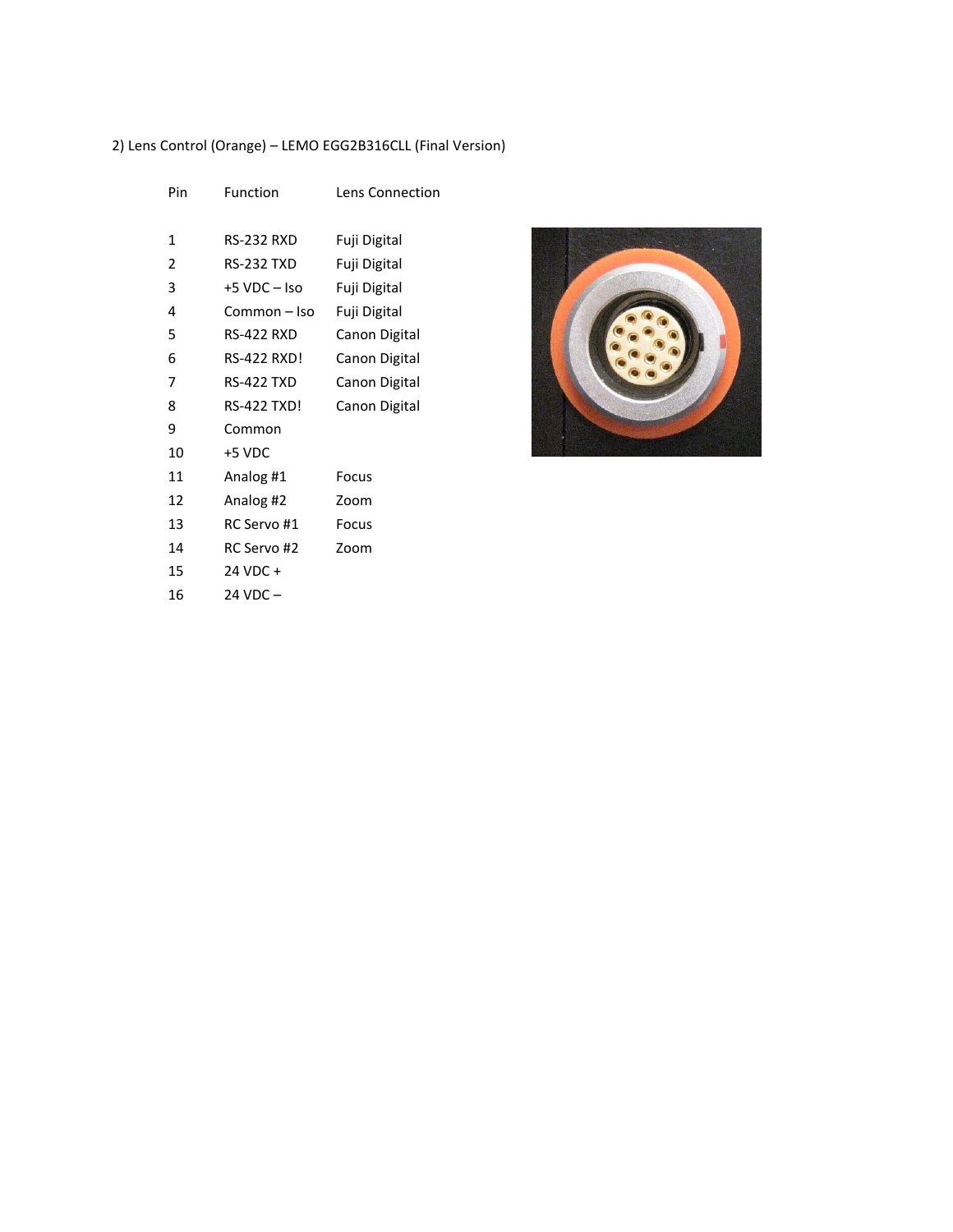#### 2) Lens Control (Orange) – LEMO EGG2B316CLL (Final Version)

| Pin            | Function           | <b>Lens Connection</b> |
|----------------|--------------------|------------------------|
| 1              | <b>RS-232 RXD</b>  | Fuji Digital           |
| $\overline{2}$ | <b>RS-232 TXD</b>  | Fuji Digital           |
| 3              | $+5$ VDC $-$ Iso   | Fuji Digital           |
| 4              | Common-Iso         | Fuji Digital           |
| 5              | <b>RS-422 RXD</b>  | Canon Digital          |
| 6              | RS-422 RXD!        | Canon Digital          |
| 7              | <b>RS-422 TXD</b>  | Canon Digital          |
| 8              | <b>RS-422 TXD!</b> | Canon Digital          |
| 9              | Common             |                        |
| 10             | +5 VDC             |                        |
| 11             | Analog #1          | Focus                  |
| 12             | Analog #2          | Zoom                   |
| 13             | RC Servo #1        | Focus                  |
| 14             | RC Servo #2        | Zoom                   |
| 15             | 24 VDC +           |                        |
| 16             | $24$ VDC $-$       |                        |
|                |                    |                        |

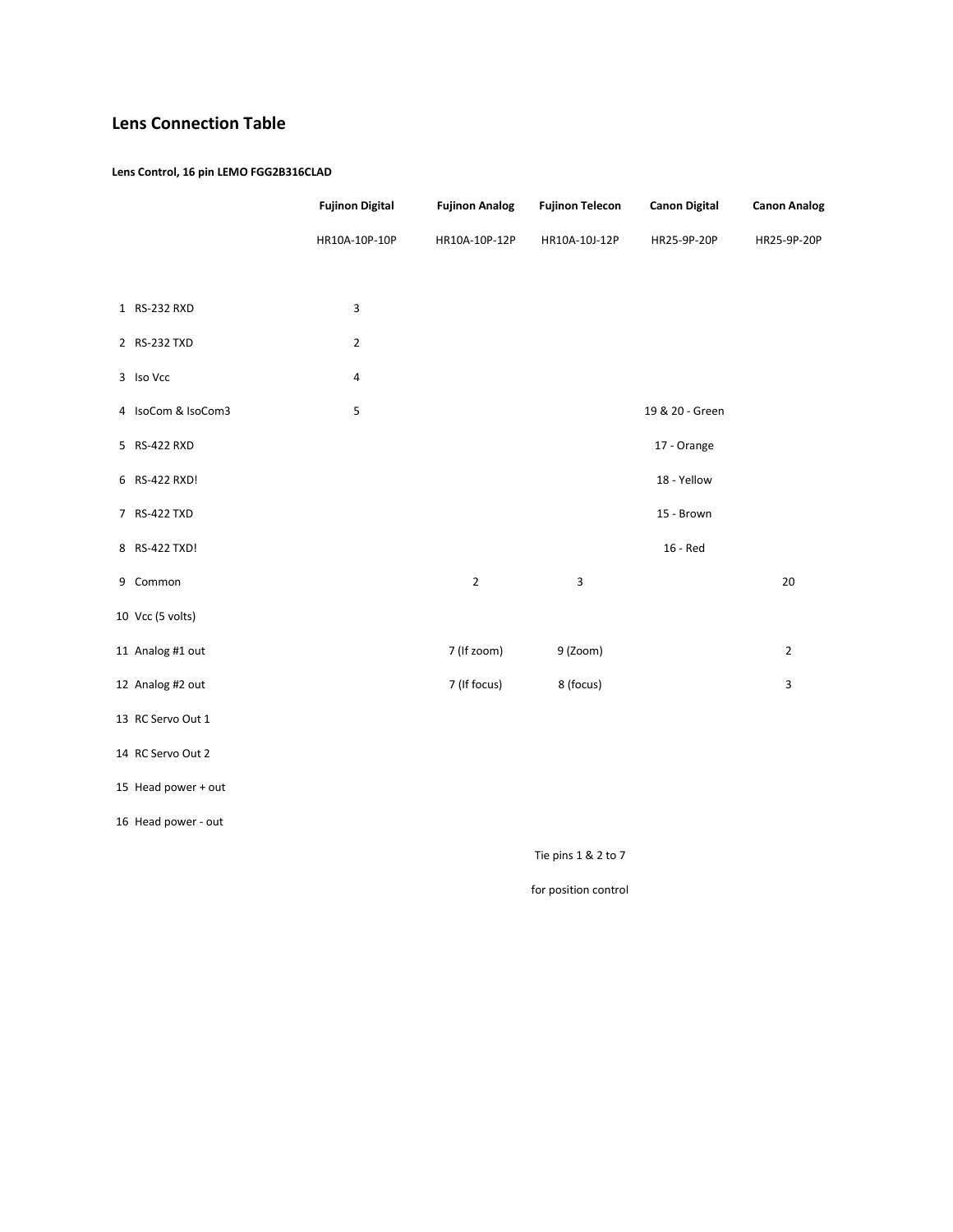## **Lens Connection Table**

#### **Lens Control, 16 pin LEMO FGG2B316CLAD**

|                     | <b>Fujinon Digital</b>  | <b>Fujinon Analog</b> | <b>Fujinon Telecon</b> | <b>Canon Digital</b> | <b>Canon Analog</b> |
|---------------------|-------------------------|-----------------------|------------------------|----------------------|---------------------|
|                     | HR10A-10P-10P           | HR10A-10P-12P         | HR10A-10J-12P          | HR25-9P-20P          | HR25-9P-20P         |
|                     |                         |                       |                        |                      |                     |
| 1 RS-232 RXD        | 3                       |                       |                        |                      |                     |
| 2 RS-232 TXD        | $\mathbf 2$             |                       |                        |                      |                     |
| 3 Iso Vcc           | 4                       |                       |                        |                      |                     |
| 4 IsoCom & IsoCom3  | $\overline{\mathbf{5}}$ |                       |                        | 19 & 20 - Green      |                     |
| 5 RS-422 RXD        |                         |                       |                        | 17 - Orange          |                     |
| 6 RS-422 RXD!       |                         |                       |                        | 18 - Yellow          |                     |
| 7 RS-422 TXD        |                         |                       |                        | 15 - Brown           |                     |
| 8 RS-422 TXD!       |                         |                       |                        | 16 - Red             |                     |
| 9 Common            |                         | $\overline{2}$        | 3                      |                      | 20                  |
| 10 Vcc (5 volts)    |                         |                       |                        |                      |                     |
| 11 Analog #1 out    |                         | 7 (If zoom)           | 9 (Zoom)               |                      | $\overline{2}$      |
| 12 Analog #2 out    |                         | 7 (If focus)          | 8 (focus)              |                      | 3                   |
| 13 RC Servo Out 1   |                         |                       |                        |                      |                     |
| 14 RC Servo Out 2   |                         |                       |                        |                      |                     |
| 15 Head power + out |                         |                       |                        |                      |                     |
| 16 Head power - out |                         |                       |                        |                      |                     |
|                     |                         |                       | $\cdot$                |                      |                     |

Tie pins 1 & 2 to 7

for position control